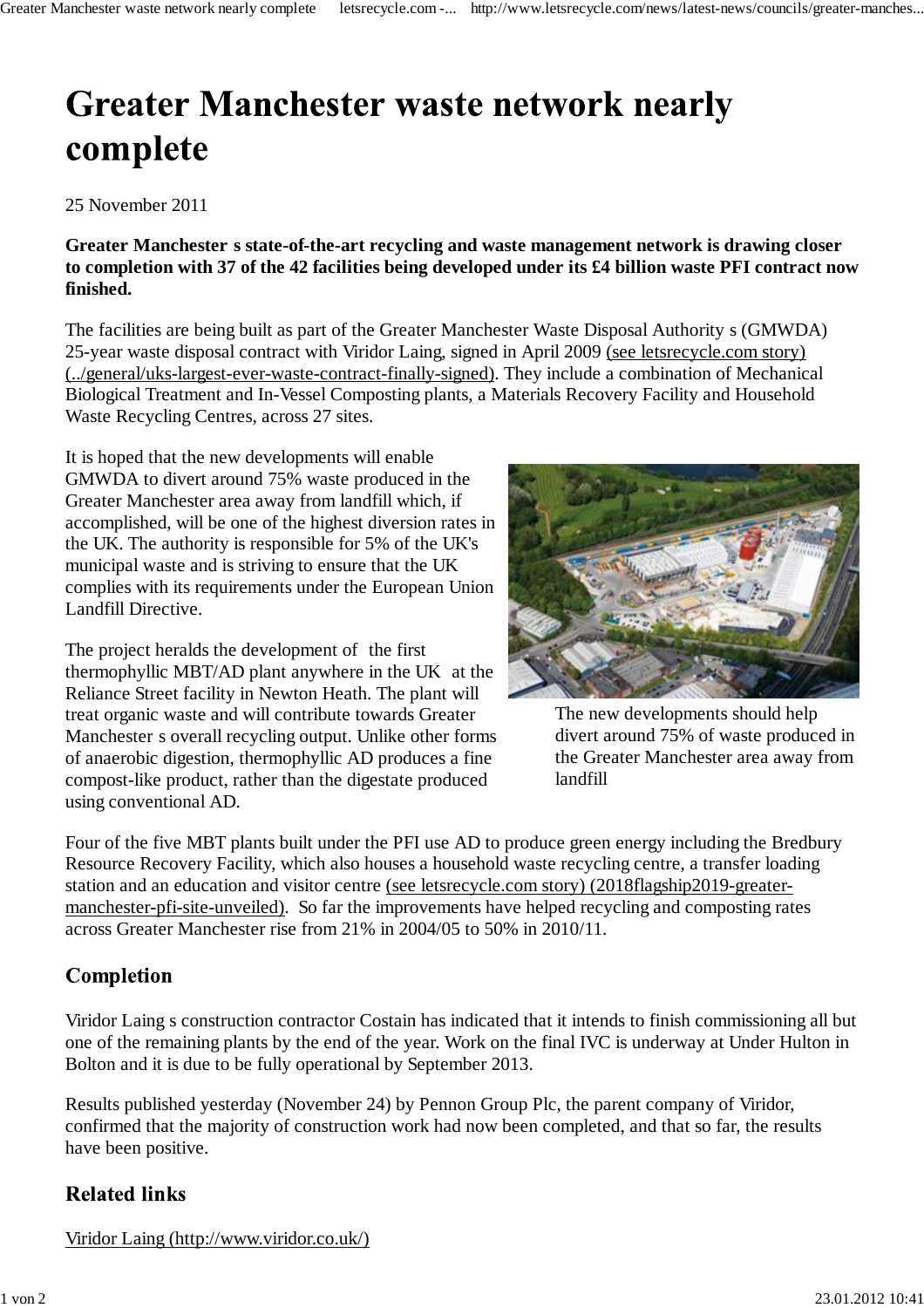# **Greater Manchester waste network nearly** complete

25 November 2011

**Greater Manchester s state-of-the-art recycling and waste management network is drawing closer to completion with 37 of the 42 facilities being developed under its £4 billion waste PFI contract now finished.**

The facilities are being built as part of the Greater Manchester Waste Disposal Authority s (GMWDA) 25-year waste disposal contract with Viridor Laing, signed in April 2009 (see letsrecycle.com story) (../general/uks-largest-ever-waste-contract-finally-signed). They include a combination of Mechanical Biological Treatment and In-Vessel Composting plants, a Materials Recovery Facility and Household Waste Recycling Centres, across 27 sites.

It is hoped that the new developments will enable GMWDA to divert around 75% waste produced in the Greater Manchester area away from landfill which, if accomplished, will be one of the highest diversion rates in the UK. The authority is responsible for 5% of the UK's municipal waste and is striving to ensure that the UK complies with its requirements under the European Union Landfill Directive.

The project heralds the development of the first thermophyllic MBT/AD plant anywhere in the UK at the Reliance Street facility in Newton Heath. The plant will treat organic waste and will contribute towards Greater Manchester s overall recycling output. Unlike other forms of anaerobic digestion, thermophyllic AD produces a fine compost-like product, rather than the digestate produced using conventional AD.



The new developments should help divert around 75% of waste produced in the Greater Manchester area away from landfill

Four of the five MBT plants built under the PFI use AD to produce green energy including the Bredbury Resource Recovery Facility, which also houses a household waste recycling centre, a transfer loading station and an education and visitor centre (see letsrecycle.com story) (2018flagship2019-greatermanchester-pfi-site-unveiled). So far the improvements have helped recycling and composting rates across Greater Manchester rise from 21% in 2004/05 to 50% in 2010/11.

## **Completion**

Viridor Laing s construction contractor Costain has indicated that it intends to finish commissioning all but one of the remaining plants by the end of the year. Work on the final IVC is underway at Under Hulton in Bolton and it is due to be fully operational by September 2013.

Results published yesterday (November 24) by Pennon Group Plc, the parent company of Viridor, confirmed that the majority of construction work had now been completed, and that so far, the results have been positive.

## **Related links**

Viridor Laing (http://www.viridor.co.uk/)